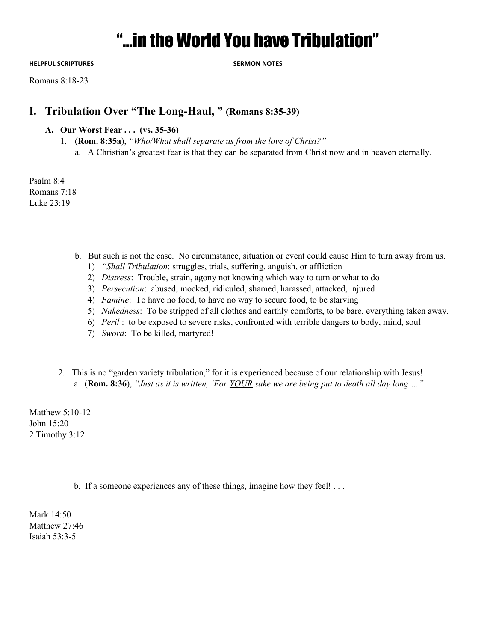# "…in the World You have Tribulation"

**HELPFUL SCRIPTURES SERMON NOTES**

Romans 8:18-23

# **I. Tribulation Over "The Long-Haul, " (Romans 8:35-39)**

## **A. Our Worst Fear . . . (vs. 35-36)**

- 1. (**Rom. 8:35a**), *"Who/What shall separate us from the love of Christ?"*
	- a. A Christian's greatest fear is that they can be separated from Christ now and in heaven eternally.

Psalm 8:4 Romans 7:18 Luke 23:19

- b. But such is not the case. No circumstance, situation or event could cause Him to turn away from us.
	- 1) *"Shall Tribulation*: struggles, trials, suffering, anguish, or affliction
	- 2) *Distress*: Trouble, strain, agony not knowing which way to turn or what to do
	- 3) *Persecution*: abused, mocked, ridiculed, shamed, harassed, attacked, injured
	- 4) *Famine*: To have no food, to have no way to secure food, to be starving
	- 5) *Nakedness*: To be stripped of all clothes and earthly comforts, to be bare, everything taken away.
	- 6) *Peril* : to be exposed to severe risks, confronted with terrible dangers to body, mind, soul
	- 7) *Sword*: To be killed, martyred!
- 2. This is no "garden variety tribulation," for it is experienced because of our relationship with Jesus! a (**Rom. 8:36**), *"Just as it is written, 'For YOUR sake we are being put to death all day long…."*

Matthew 5:10-12 John 15:20 2 Timothy 3:12

b. If a someone experiences any of these things, imagine how they feel! . . .

Mark 14:50 Matthew 27:46 Isaiah 53:3-5